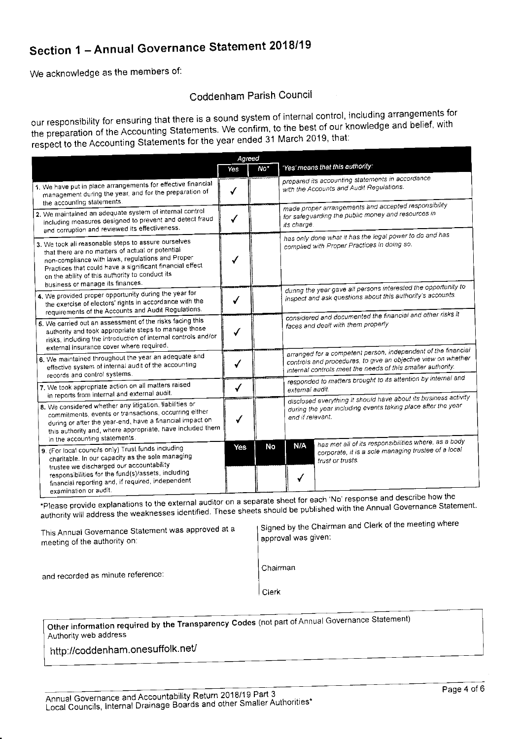## Section 1 - Annual Governance Statement 2018/19

We acknowledge as the members of:

## Coddenham Parish Council

our responsibility for ensuring that there is a sound system of internal control, including arrangements for the preparation of the Accounting Statements. We confirm, to the best of our knowledge and belief, with respect to the Accounting Statements for the year ended 31 March 2019, that:

|                                                                                                                                                                                                                                                                                                                            | Agreed |     |                                                                                                                                                                                               |  |
|----------------------------------------------------------------------------------------------------------------------------------------------------------------------------------------------------------------------------------------------------------------------------------------------------------------------------|--------|-----|-----------------------------------------------------------------------------------------------------------------------------------------------------------------------------------------------|--|
|                                                                                                                                                                                                                                                                                                                            | Yes    | No* | 'Yes' means that this authority:                                                                                                                                                              |  |
| 1. We have put in place arrangements for effective financial<br>management during the year, and for the preparation of<br>the accounting statements.                                                                                                                                                                       | √      |     | prepared its accounting statements in accordance<br>with the Accounts and Audit Regulations.                                                                                                  |  |
| 2. We maintained an adequate system of internal control<br>including measures designed to prevent and detect fraud<br>and corruption and reviewed its effectiveness.                                                                                                                                                       | √      |     | made proper arrangements and accepted responsibility<br>for safeguarding the public money and resources in<br>its charge.                                                                     |  |
| 3. We took all reasonable steps to assure ourselves<br>that there are no matters of actual or potential<br>non-compliance with laws, regulations and Proper<br>Practices that could have a significant financial effect<br>on the ability of this authority to conduct its<br>business or manage its finances.             |        |     | has only done what it has the legal power to do and has<br>complied with Proper Practices in doing so.                                                                                        |  |
| 4. We provided proper opportunity during the year for<br>the exercise of electors' rights in accordance with the<br>requirements of the Accounts and Audit Regulations.                                                                                                                                                    |        |     | during the year gave all persons interested the opportunity to<br>inspect and ask questions about this authority's accounts.                                                                  |  |
| 5. We carried out an assessment of the risks facing this<br>authority and took appropriate steps to manage those<br>risks, including the introduction of internal controls and/or<br>external insurance cover where required.                                                                                              |        |     | considered and documented the financial and other risks it<br>faces and dealt with them properly.                                                                                             |  |
| 6. We maintained throughout the year an adequate and<br>effective system of internal audit of the accounting<br>records and control systems.                                                                                                                                                                               | √      |     | arranged for a competent person, independent of the financial<br>controls and procedures, to give an objective view on whether<br>internal controls meet the needs of this smaller authority. |  |
| 7. We took appropriate action on all matters raised                                                                                                                                                                                                                                                                        | √      |     | responded to matters brought to its attention by internal and<br>external audit.                                                                                                              |  |
| in reports from internal and external audit.<br>8. We considered whether any litigation, liabilities or<br>commitments, events or transactions, occurring either<br>during or after the year-end, have a financial impact on<br>this authority and, where appropriate, have included them<br>in the accounting statements. |        |     | disclosed everything it should have about its business activity<br>during the year including events taking place after the year<br>end if relevant.                                           |  |
| 9. (For local councils only) Trust funds including<br>charitable. In our capacity as the sole managing<br>trustee we discharged our accountability<br>responsibilities for the fund(s)/assets, including<br>financial reporting and, if required, independent<br>examination or audit.                                     | Yes    | No  | has met all of its responsibilities where, as a body<br><b>N/A</b><br>corporate, it is a sole managing trustee of a local<br>trust or trusts.                                                 |  |

\*Please provide explanations to the external auditor on a separate sheet for each 'No' response and describe how the authority will address the weaknesses identified. These sheets should be published with the Annual Governance Statement.

| $\frac{1}{2}$<br>This Annual Governance Statement was approved at a<br>meeting of the authority on: | Signed by the Chairman and Clerk of the meeting where<br>I approval was given: |
|-----------------------------------------------------------------------------------------------------|--------------------------------------------------------------------------------|
| and recorded as minute reference:                                                                   | Chairman                                                                       |

 $|C$ lerk

Other information required by the Transparency Codes (not part of Annual Governance Statement) Authority web address

http://coddenham.onesuffolk.net/